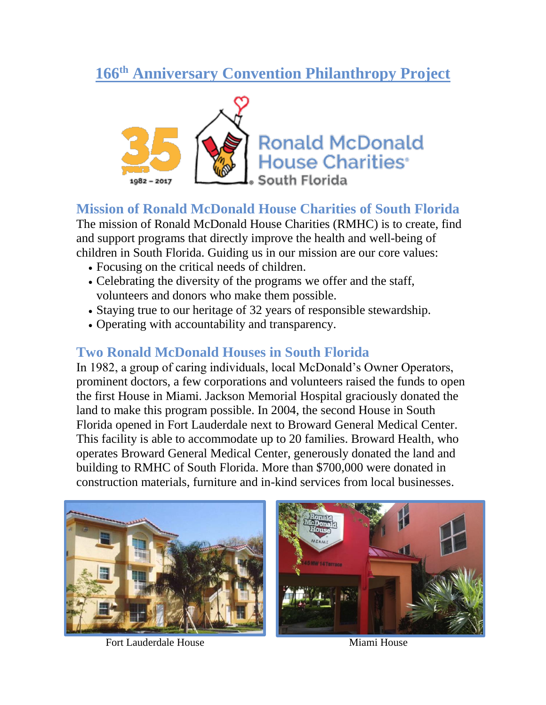# **166th Anniversary Convention Philanthropy Project**



### **Mission of Ronald McDonald House Charities of South Florida**

The mission of Ronald McDonald House Charities (RMHC) is to create, find and support programs that directly improve the health and well-being of children in South Florida. Guiding us in our mission are our core values:

- Focusing on the critical needs of children.
- Celebrating the diversity of the programs we offer and the staff, volunteers and donors who make them possible.
- Staying true to our heritage of 32 years of responsible stewardship.
- Operating with accountability and transparency.

## **Two Ronald McDonald Houses in South Florida**

In 1982, a group of caring individuals, local McDonald's Owner Operators, prominent doctors, a few corporations and volunteers raised the funds to open the first House in Miami. Jackson Memorial Hospital graciously donated the land to make this program possible. In 2004, the second House in South Florida opened in Fort Lauderdale next to Broward General Medical Center. This facility is able to accommodate up to 20 families. Broward Health, who operates Broward General Medical Center, generously donated the land and building to RMHC of South Florida. More than \$700,000 were donated in construction materials, furniture and in-kind services from local businesses.



Fort Lauderdale House Miami House

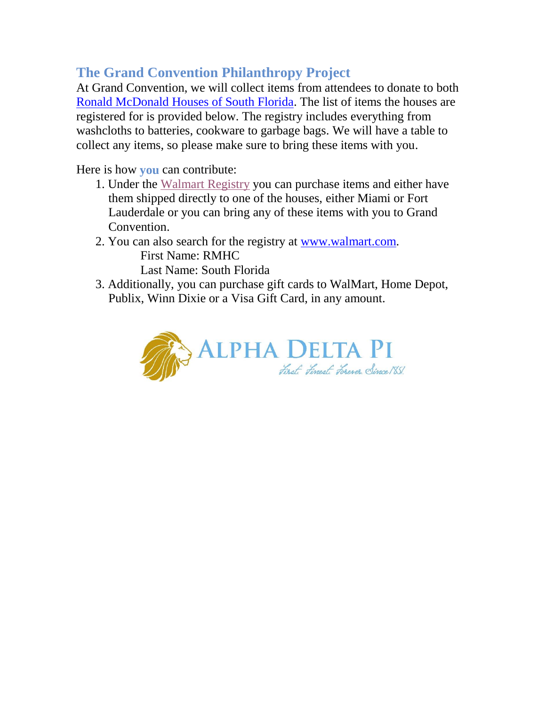# **The Grand Convention Philanthropy Project**

At Grand Convention, we will collect items from attendees to donate to both [Ronald McDonald Houses of South Florida.](https://rmhcsouthflorida.org/) The list of items the houses are registered for is provided below. The registry includes everything from washcloths to batteries, cookware to garbage bags. We will have a table to collect any items, so please make sure to bring these items with you.

Here is how **you** can contribute:

- 1. Under the [Walmart](https://www.walmart.com/lists/view-wish-list-items?id=64588dce-f86a-431b-b6c6-2c90ea053353) Registry you can purchase items and either have them shipped directly to one of the houses, either Miami or Fort Lauderdale or you can bring any of these items with you to Grand Convention.
- 2. You can also search for the registry at [www.walmart.com.](http://www.walmart.com/) First Name: RMHC Last Name: South Florida
- 3. Additionally, you can purchase gift cards to WalMart, Home Depot, Publix, Winn Dixie or a Visa Gift Card, in any amount.

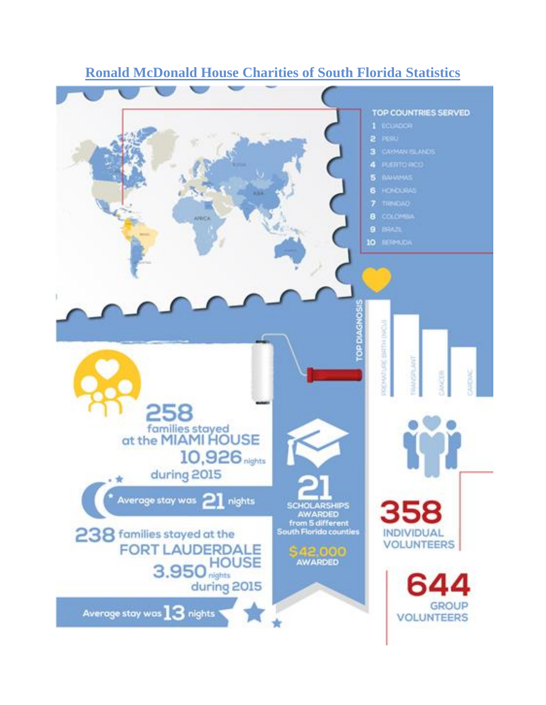

### **Ronald McDonald House Charities of South Florida Statistics**